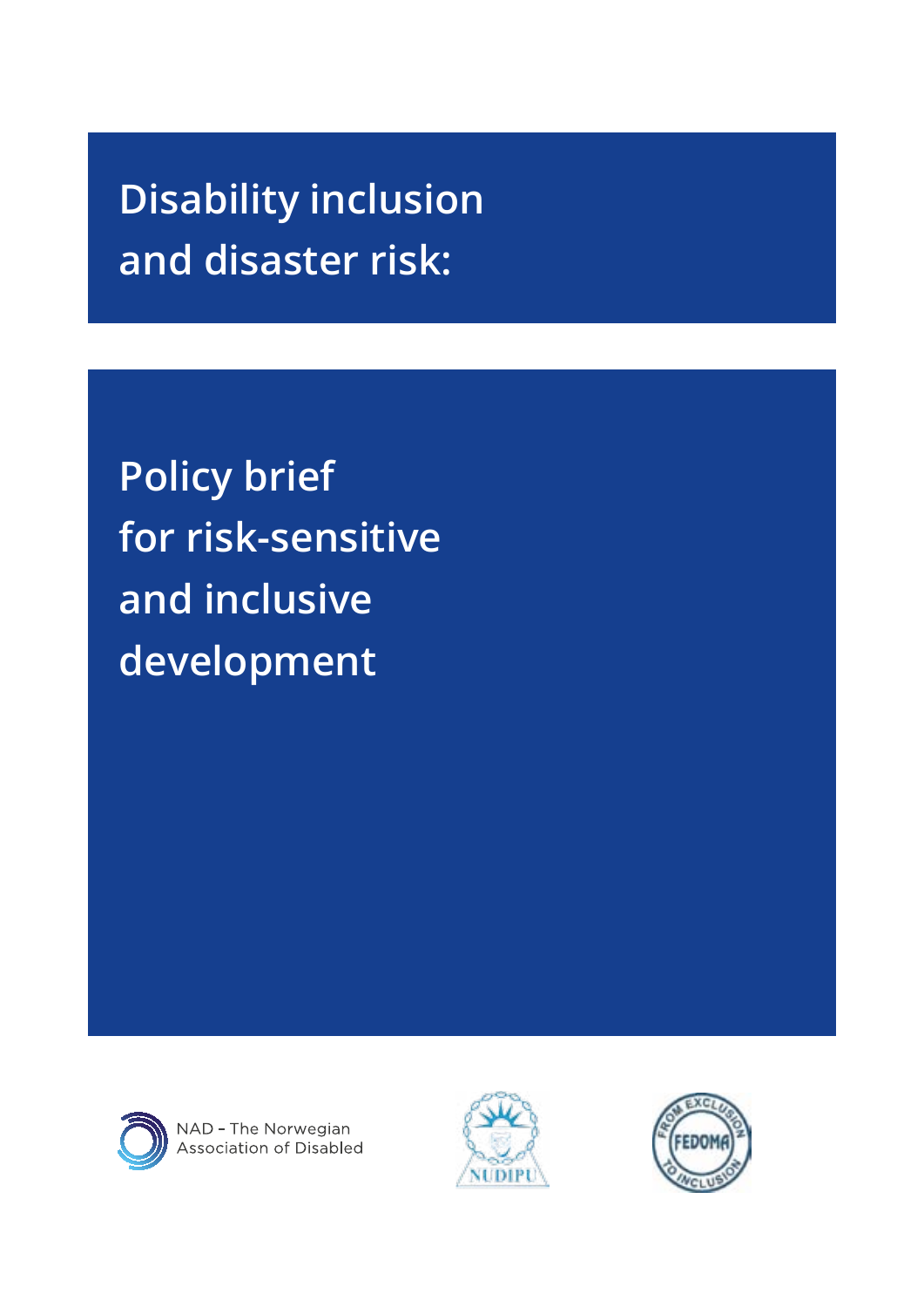# **Disability inclusion and disaster risk:**

**Policy brief for risk-sensitive and inclusive development**



NAD - The Norwegian<br>Association of Disabled



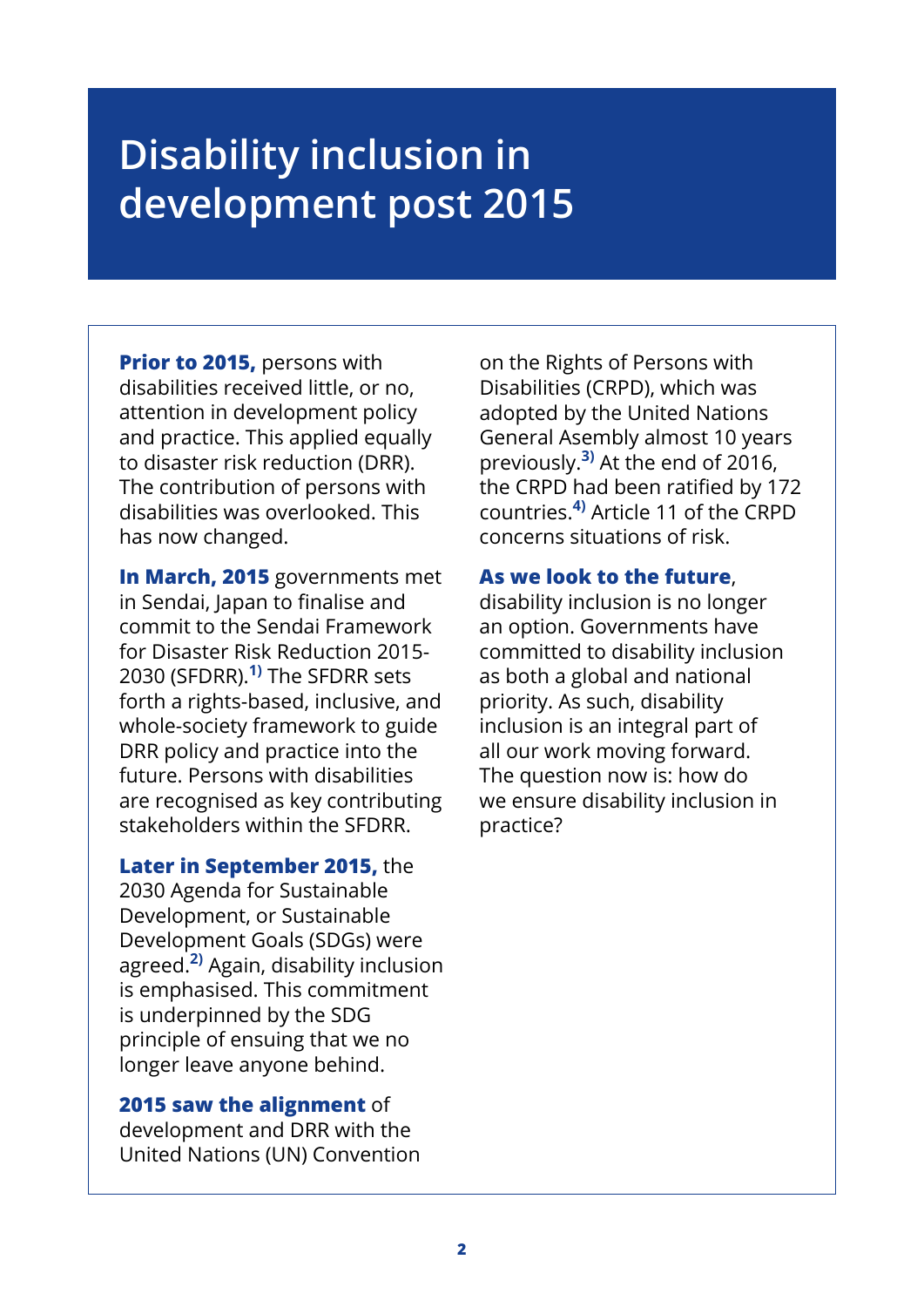# **Disability inclusion in development post 2015**

**Prior to 2015,** persons with disabilities received little, or no, attention in development policy and practice. This applied equally to disaster risk reduction (DRR). The contribution of persons with disabilities was overlooked. This has now changed.

**In March, 2015** governments met in Sendai, Japan to finalise and commit to the Sendai Framework for Disaster Risk Reduction 2015- 2030 (SFDRR).**1)** The SFDRR sets forth a rights-based, inclusive, and whole-society framework to guide DRR policy and practice into the future. Persons with disabilities are recognised as key contributing stakeholders within the SFDRR.

**Later in September 2015,** the 2030 Agenda for Sustainable Development, or Sustainable Development Goals (SDGs) were agreed.**2)** Again, disability inclusion is emphasised. This commitment is underpinned by the SDG principle of ensuing that we no longer leave anyone behind.

#### **2015 saw the alignment** of

development and DRR with the United Nations (UN) Convention

on the Rights of Persons with Disabilities (CRPD), which was adopted by the United Nations General Asembly almost 10 years previously.**3)** At the end of 2016, the CRPD had been ratified by 172 countries.**4)** Article 11 of the CRPD concerns situations of risk.

#### **As we look to the future**,

disability inclusion is no longer an option. Governments have committed to disability inclusion as both a global and national priority. As such, disability inclusion is an integral part of all our work moving forward. The question now is: how do we ensure disability inclusion in practice?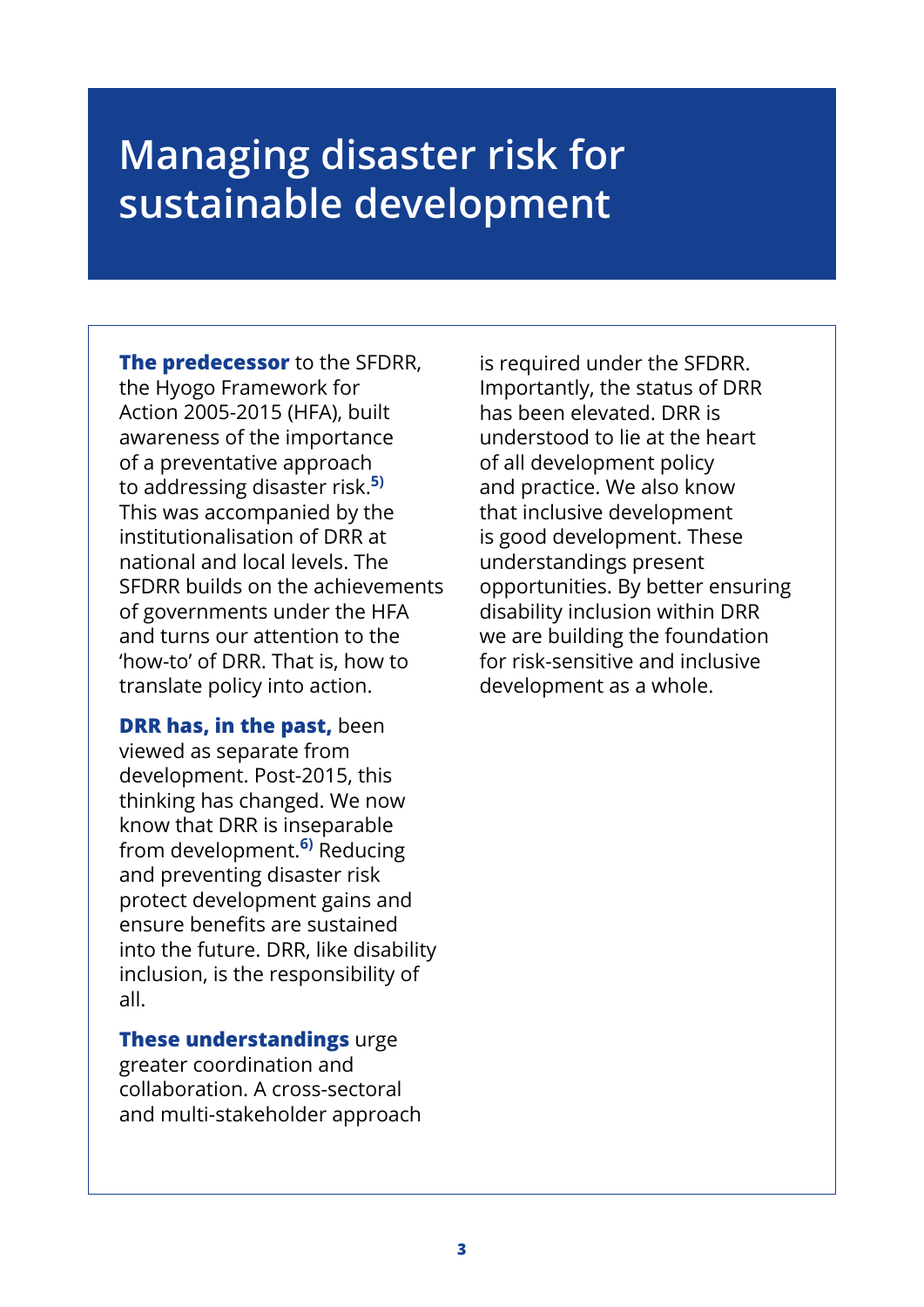### **Managing disaster risk for sustainable development**

**The predecessor** to the SFDRR, the Hyogo Framework for Action 2005-2015 (HFA), built awareness of the importance of a preventative approach to addressing disaster risk.**5)** This was accompanied by the institutionalisation of DRR at national and local levels. The SFDRR builds on the achievements of governments under the HFA and turns our attention to the 'how-to' of DRR. That is, how to translate policy into action.

**DRR has, in the past,** been viewed as separate from development. Post-2015, this thinking has changed. We now know that DRR is inseparable from development.**6)** Reducing and preventing disaster risk protect development gains and ensure benefits are sustained into the future. DRR, like disability inclusion, is the responsibility of all.

**These understandings** urge greater coordination and collaboration. A cross-sectoral and multi-stakeholder approach is required under the SFDRR. Importantly, the status of DRR has been elevated. DRR is understood to lie at the heart of all development policy and practice. We also know that inclusive development is good development. These understandings present opportunities. By better ensuring disability inclusion within DRR we are building the foundation for risk-sensitive and inclusive development as a whole.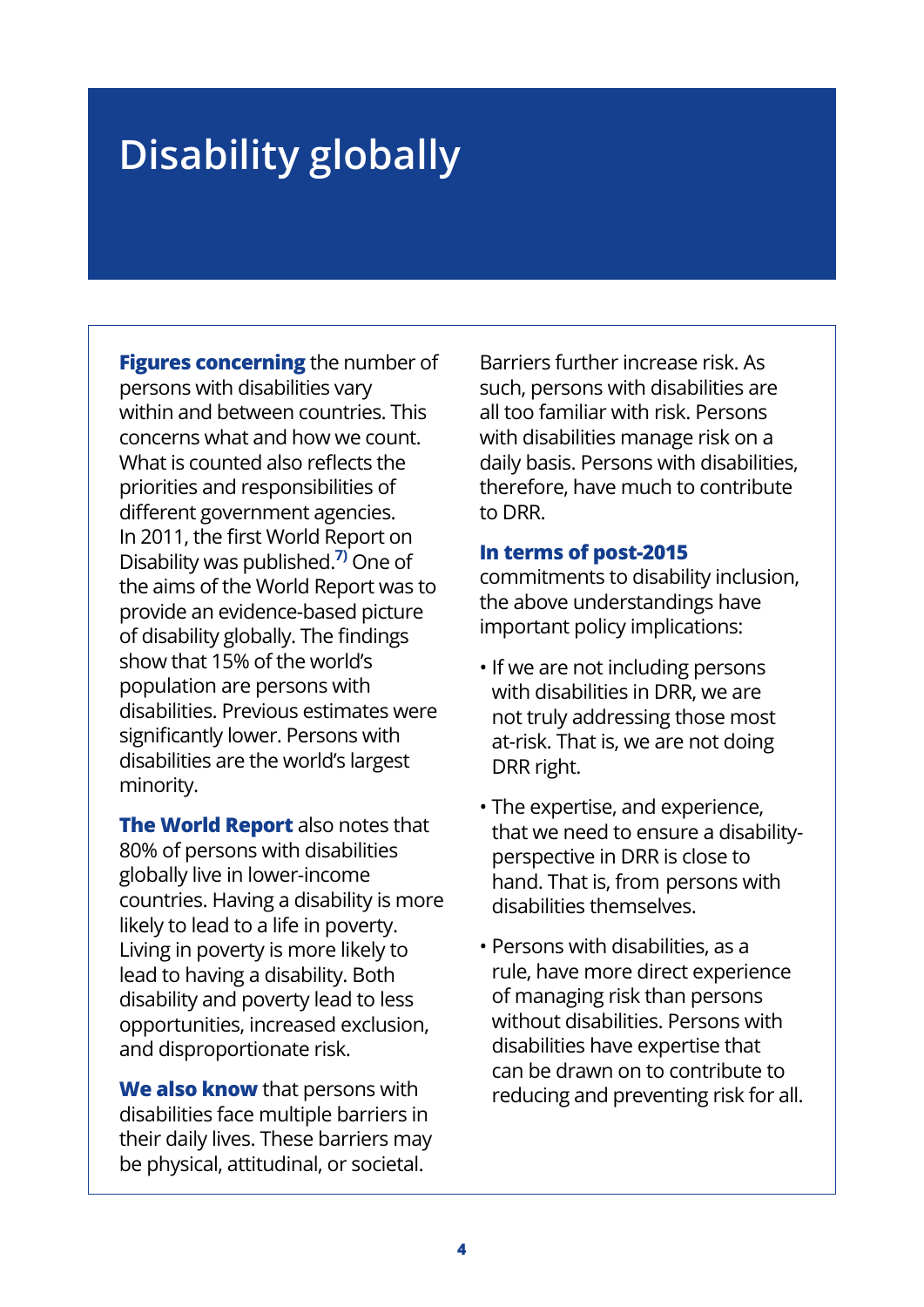# **Disability globally**

**Figures concerning** the number of persons with disabilities vary within and between countries. This concerns what and how we count. What is counted also reflects the priorities and responsibilities of different government agencies. In 2011, the first World Report on Disability was published.**7)** One of the aims of the World Report was to provide an evidence-based picture of disability globally. The findings show that 15% of the world's population are persons with disabilities. Previous estimates were significantly lower. Persons with disabilities are the world's largest minority.

**The World Report** also notes that 80% of persons with disabilities globally live in lower-income countries. Having a disability is more likely to lead to a life in poverty. Living in poverty is more likely to lead to having a disability. Both disability and poverty lead to less opportunities, increased exclusion, and disproportionate risk.

**We also know** that persons with disabilities face multiple barriers in their daily lives. These barriers may be physical, attitudinal, or societal.

Barriers further increase risk. As such, persons with disabilities are all too familiar with risk. Persons with disabilities manage risk on a daily basis. Persons with disabilities, therefore, have much to contribute to DRR.

#### **In terms of post-2015**

commitments to disability inclusion, the above understandings have important policy implications:

- If we are not including persons with disabilities in DRR, we are not truly addressing those most at-risk. That is, we are not doing DRR right.
- The expertise, and experience, that we need to ensure a disabilityperspective in DRR is close to hand. That is, from persons with disabilities themselves.
- Persons with disabilities, as a rule, have more direct experience of managing risk than persons without disabilities. Persons with disabilities have expertise that can be drawn on to contribute to reducing and preventing risk for all.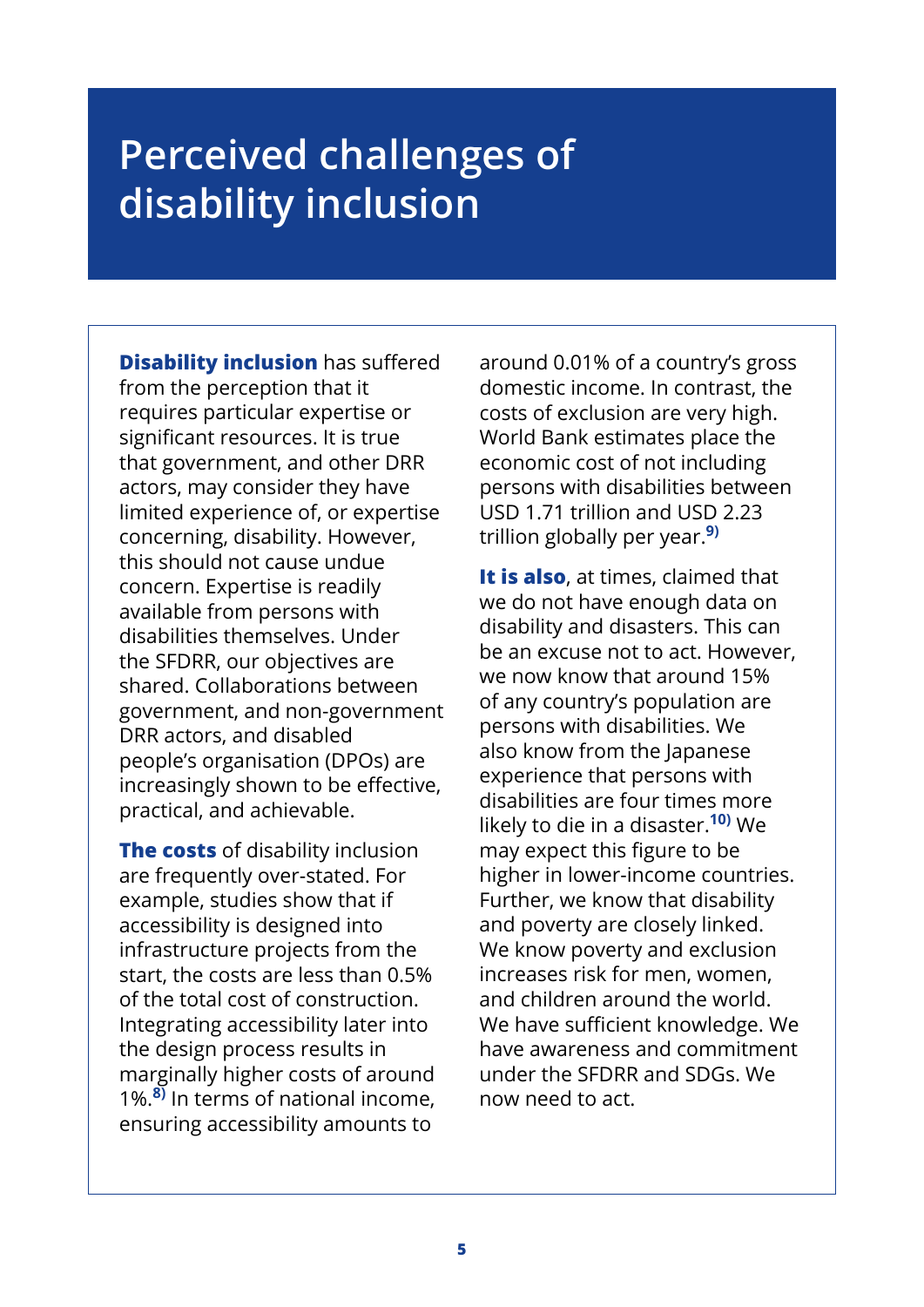# **Perceived challenges of disability inclusion**

**Disability inclusion** has suffered from the perception that it requires particular expertise or significant resources. It is true that government, and other DRR actors, may consider they have limited experience of, or expertise concerning, disability. However, this should not cause undue concern. Expertise is readily available from persons with disabilities themselves. Under the SFDRR, our objectives are shared. Collaborations between government, and non-government DRR actors, and disabled people's organisation (DPOs) are increasingly shown to be effective, practical, and achievable.

**The costs** of disability inclusion are frequently over-stated. For example, studies show that if accessibility is designed into infrastructure projects from the start, the costs are less than 0.5% of the total cost of construction. Integrating accessibility later into the design process results in marginally higher costs of around 1%.**8)** In terms of national income, ensuring accessibility amounts to

around 0.01% of a country's gross domestic income. In contrast, the costs of exclusion are very high. World Bank estimates place the economic cost of not including persons with disabilities between USD 1.71 trillion and USD 2.23 trillion globally per year.**9)**

**It is also**, at times, claimed that we do not have enough data on disability and disasters. This can be an excuse not to act. However, we now know that around 15% of any country's population are persons with disabilities. We also know from the Japanese experience that persons with disabilities are four times more likely to die in a disaster.**10)** We may expect this figure to be higher in lower-income countries. Further, we know that disability and poverty are closely linked. We know poverty and exclusion increases risk for men, women, and children around the world. We have sufficient knowledge. We have awareness and commitment under the SFDRR and SDGs. We now need to act.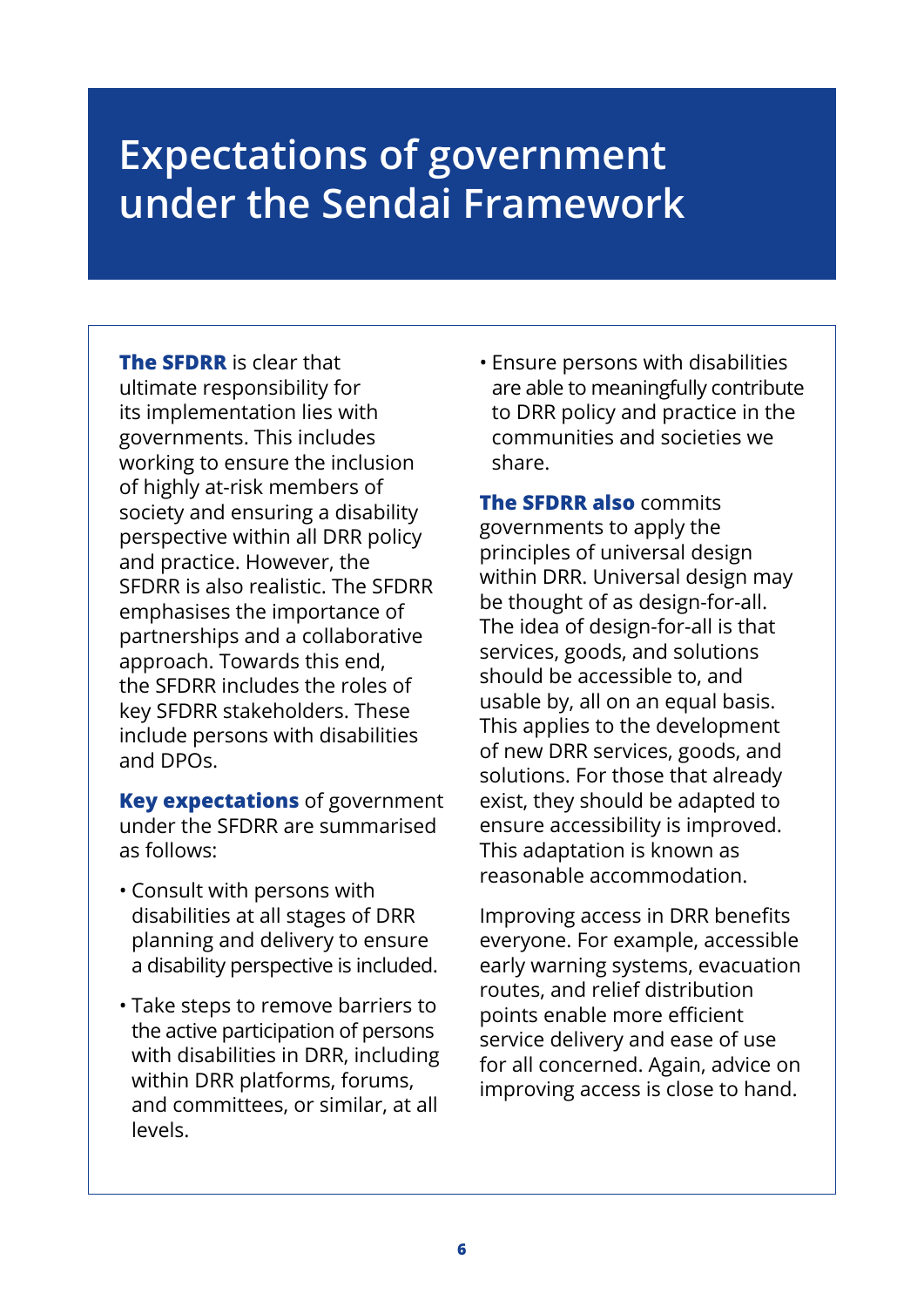# **Expectations of government under the Sendai Framework**

**The SFDRR** is clear that ultimate responsibility for its implementation lies with governments. This includes working to ensure the inclusion of highly at-risk members of society and ensuring a disability perspective within all DRR policy and practice. However, the SFDRR is also realistic. The SFDRR emphasises the importance of partnerships and a collaborative approach. Towards this end, the SFDRR includes the roles of key SFDRR stakeholders. These include persons with disabilities and DPOs.

**Key expectations** of government under the SFDRR are summarised as follows:

- Consult with persons with disabilities at all stages of DRR planning and delivery to ensure a disability perspective is included.
- Take steps to remove barriers to the active participation of persons with disabilities in DRR, including within DRR platforms, forums, and committees, or similar, at all levels.

• Ensure persons with disabilities are able to meaningfully contribute to DRR policy and practice in the communities and societies we share.

**The SFDRR also** commits governments to apply the principles of universal design within DRR. Universal design may be thought of as design-for-all. The idea of design-for-all is that services, goods, and solutions should be accessible to, and usable by, all on an equal basis. This applies to the development of new DRR services, goods, and solutions. For those that already exist, they should be adapted to ensure accessibility is improved. This adaptation is known as reasonable accommodation.

Improving access in DRR benefits everyone. For example, accessible early warning systems, evacuation routes, and relief distribution points enable more efficient service delivery and ease of use for all concerned. Again, advice on improving access is close to hand.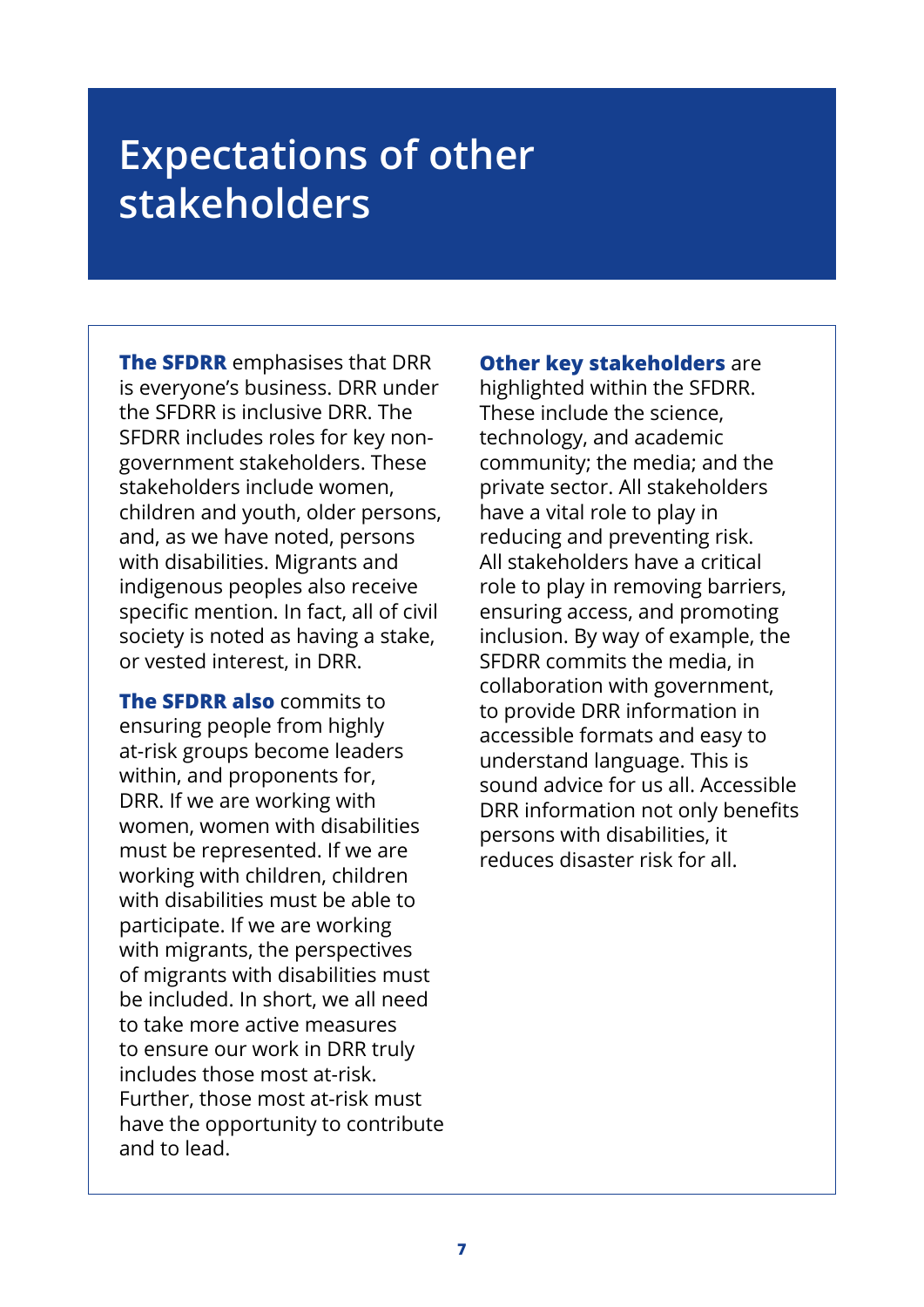# **Expectations of other stakeholders**

**The SFDRR** emphasises that DRR is everyone's business. DRR under the SFDRR is inclusive DRR. The SFDRR includes roles for key nongovernment stakeholders. These stakeholders include women, children and youth, older persons, and, as we have noted, persons with disabilities. Migrants and indigenous peoples also receive specific mention. In fact, all of civil society is noted as having a stake, or vested interest, in DRR.

**The SFDRR also** commits to ensuring people from highly at-risk groups become leaders within, and proponents for, DRR. If we are working with women, women with disabilities must be represented. If we are working with children, children with disabilities must be able to participate. If we are working with migrants, the perspectives of migrants with disabilities must be included. In short, we all need to take more active measures to ensure our work in DRR truly includes those most at-risk. Further, those most at-risk must have the opportunity to contribute and to lead.

**Other key stakeholders** are highlighted within the SFDRR. These include the science, technology, and academic community; the media; and the private sector. All stakeholders

have a vital role to play in reducing and preventing risk. All stakeholders have a critical role to play in removing barriers, ensuring access, and promoting inclusion. By way of example, the SFDRR commits the media, in collaboration with government, to provide DRR information in accessible formats and easy to understand language. This is sound advice for us all. Accessible DRR information not only benefits persons with disabilities, it reduces disaster risk for all.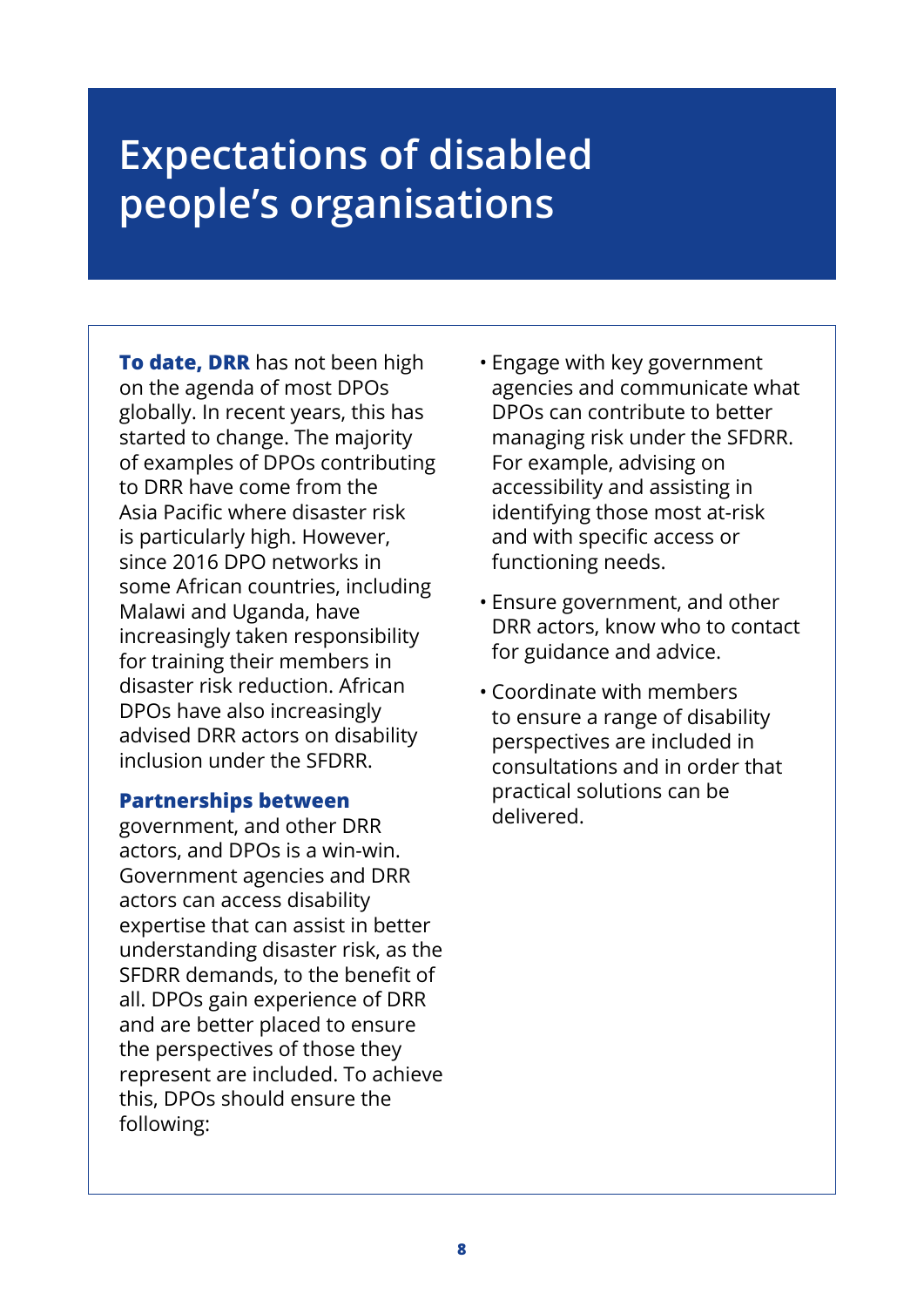# **Expectations of disabled people's organisations**

**To date, DRR** has not been high on the agenda of most DPOs globally. In recent years, this has started to change. The majority of examples of DPOs contributing to DRR have come from the Asia Pacific where disaster risk is particularly high. However, since 2016 DPO networks in some African countries, including Malawi and Uganda, have increasingly taken responsibility for training their members in disaster risk reduction. African DPOs have also increasingly advised DRR actors on disability inclusion under the SFDRR.

### **Partnerships between**

government, and other DRR actors, and DPOs is a win-win. Government agencies and DRR actors can access disability expertise that can assist in better understanding disaster risk, as the SFDRR demands, to the benefit of all. DPOs gain experience of DRR and are better placed to ensure the perspectives of those they represent are included. To achieve this, DPOs should ensure the following:

- Engage with key government agencies and communicate what DPOs can contribute to better managing risk under the SFDRR. For example, advising on accessibility and assisting in identifying those most at-risk and with specific access or functioning needs.
- Ensure government, and other DRR actors, know who to contact for guidance and advice.
- Coordinate with members to ensure a range of disability perspectives are included in consultations and in order that practical solutions can be delivered.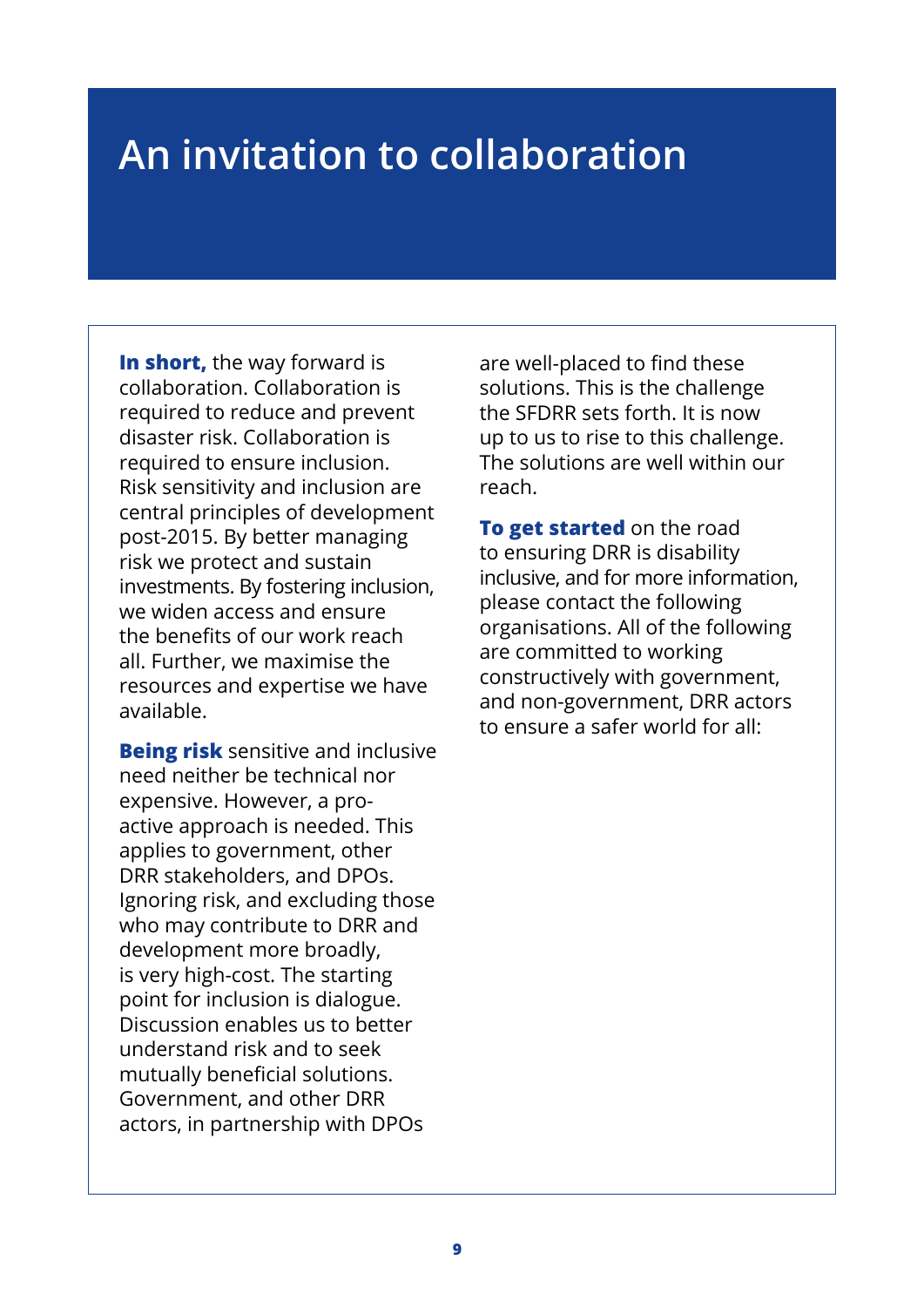# **An invitation to collaboration**

**In short,** the way forward is collaboration. Collaboration is required to reduce and prevent disaster risk. Collaboration is required to ensure inclusion. Risk sensitivity and inclusion are central principles of development post-2015. By better managing risk we protect and sustain investments. By fostering inclusion, we widen access and ensure the benefits of our work reach all. Further, we maximise the resources and expertise we have available.

**Being risk** sensitive and inclusive need neither be technical nor expensive. However, a proactive approach is needed. This applies to government, other DRR stakeholders, and DPOs. Ignoring risk, and excluding those who may contribute to DRR and development more broadly, is very high-cost. The starting point for inclusion is dialogue. Discussion enables us to better understand risk and to seek mutually beneficial solutions. Government, and other DRR actors, in partnership with DPOs

are well-placed to find these solutions. This is the challenge the SFDRR sets forth. It is now up to us to rise to this challenge. The solutions are well within our reach.

**To get started** on the road to ensuring DRR is disability inclusive, and for more information, please contact the following organisations. All of the following are committed to working constructively with government, and non-government, DRR actors to ensure a safer world for all: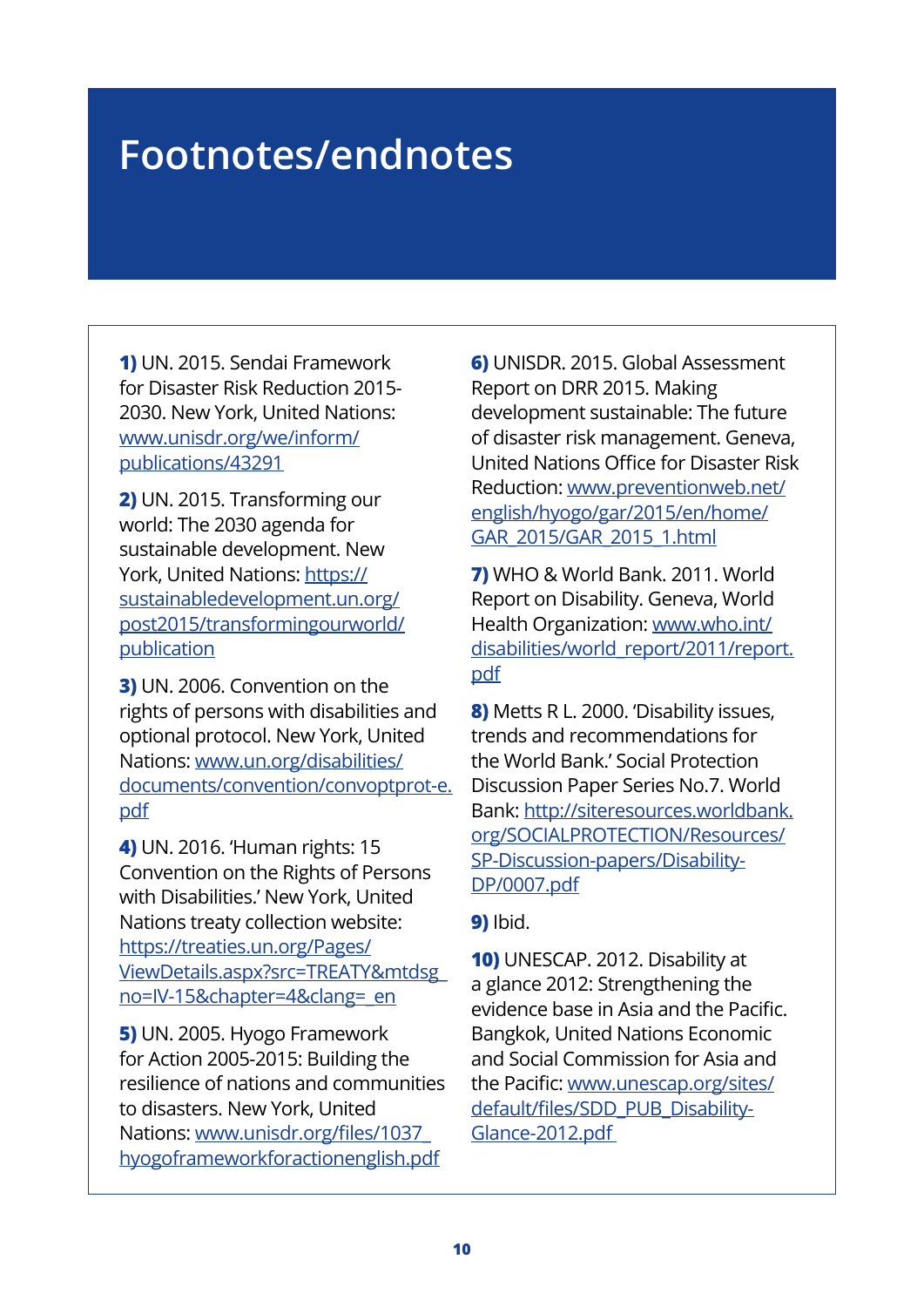# **Footnotes/endnotes**

**1)** UN. 2015. Sendai Framework for Disaster Risk Reduction 2015- 2030. New York, United Nations: [w](www.unisdr.org/we/inform/publications/43291)[ww.unisdr.org/we/inform/](www.unisdr.org/we/inform/publications) [publications](www.unisdr.org/we/inform/publications)/43291

**2)** UN. 2015. Transforming our world: The 2030 agenda for sustainable development. New York, United Nations: [https://](https://sustainabledevelopment.un.org/post2015/transformingourworld/publication) [sustainabledevelopment.un.org/](https://sustainabledevelopment.un.org/post2015/transformingourworld/publication) [post2015/transformingourworld/](https://sustainabledevelopment.un.org/post2015/transformingourworld/publication) [publication](https://sustainabledevelopment.un.org/post2015/transformingourworld/publication)

**3)** UN. 2006. Convention on the rights of persons with disabilities and optional protocol. New York, United Nations: [www.un.org/disabilities/](www.un.org/disabilities/documents/convention/convoptprot) [d](www.un.org/disabilities/documents/convention/convoptprot-e.pdf)[ocuments/convention/convoptpro](www.un.org/disabilities/documents/convention/convoptprot)[t-e.](www.un.org/disabilities/documents/convention/convoptprot-e.pdf) pdf

**4)** UN. 2016. 'Human rights: 15 Convention on the Rights of Persons with Disabilities.' New York, United Nations treaty collection website: https://treaties.un.org/Pages/ [ViewDetails.aspx?src=TREATY&mtdsg\\_](https://treaties.un.org/Pages/ViewDetails.aspx?src=TREATY&mtdsg_no=IV-15&chapter=4&clang=_en) no=IV-15&chapter=4&clang=\_en

**5)** UN. 2005. Hyogo Framework for Action 2005-2015: Building the resilience of nations and communities to disasters. New York, United Nations: [www.unisdr.org/files/1037\\_](www.unisdr.org/files/1037_hyogoframeworkforactionenglish.pdf) [hyogoframeworkforactionenglish.pdf](www.unisdr.org/files/1037_hyogoframeworkforactionenglish.pdf)

**6)** UNISDR. 2015. Global Assessment Report on DRR 2015. Making development sustainable: The future of disaster risk management. Geneva, United Nations Office for Disaster Risk [Reduction: www.preventionweb.net/](www.preventionweb.net/english/hyogo/gar/2015/en/home/GAR_2015/GAR_2015_1.html) english/hyogo/gar/2015/en/home/ GAR\_2015/GAR\_2015\_1.html

**7)** WHO & World Bank. 2011. World Report on Disability. Geneva, World Health Organization: [www.who.int/](www.who.int/disabilities/world_report/2011/report.pdf) [disabilities/world\\_report/2011/report.](www.who.int/disabilities/world_report/2011/report.pdf) [pdf](www.who.int/disabilities/world_report/2011/report.pdf)

**8)** Metts R L. 2000. 'Disability issues, trends and recommendations for the World Bank.' Social Protection Discussion Paper Series No.7. World Bank: [http://siteresources.worldbank.](http://siteresources.worldbank.org/SOCIALPROTECTION/Resources/SP-Discussion-papers/Disability-DP/0007.pdf) [org/SOCIALPROTECTION/Resources/](http://siteresources.worldbank.org/SOCIALPROTECTION/Resources/SP-Discussion-papers/Disability-DP/0007.pdf) [SP-Discussion-papers/Disability-](http://siteresources.worldbank.org/SOCIALPROTECTION/Resources/SP-Discussion-papers/Disability-DP/0007.pdf)[DP/0007.pdf](http://siteresources.worldbank.org/SOCIALPROTECTION/Resources/SP-Discussion-papers/Disability-DP/0007.pdf)

### **9)** Ibid.

**10)** UNESCAP. 2012. Disability at a glance 2012: Strengthening the evidence base in Asia and the Pacific. Bangkok, United Nations Economic [and Social Commission for Asia and](www.unescap.org/sites/default/files/SDD_PUB_Disability-Glance-2012.pdf)  the Pacific: [www.unescap.org/sites/](www.unescap.org/sites/default/files/SDD) [default/files/SDD](www.unescap.org/sites/default/files/SDD)\_PUB\_Disability-Glance-2012.pdf